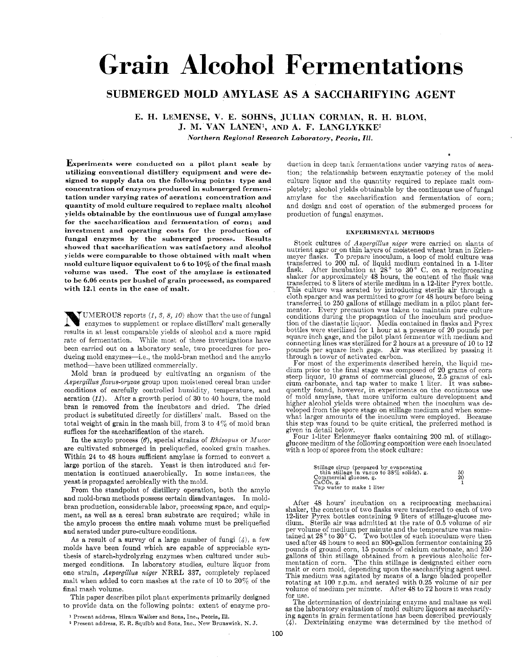# **Grain Alcohol Fermentations**

## **SUBMERGED MOLD AMYLASE AS A SACCHARIFYING AGENT**

**E. H. LEMENSE, V. E. SOHNS, JCLIAN CORRIAN, R. H. BLOM, J. M. VAN LANEW, AND A. F. LAKGLYKKE2** 

*.Vorthern Regional Research Laboratory, Peoriu, 111.* 

**Experiments were conducted on a pilot plant scale by utilizing conventional distillery equipment and were designed to supply data on the following points: type and concentration of enzymes produced in submerged fermentation under varying rates of aeration; concentration and quantity of mold culture required to replace malt; alcohol yields obtainable by the continuous use of fungal amylase for the saccharification and fermentation of corn; and investment and operating costs for** the **production of fungal enzymes by the submergcd process. Results**  showed that saccharification was satisfactory and alcohol **J ields were comparable to those obtained with malt when mold culture liquor equivalent to 6 to 10% of the final mash volume was used. The cost of the amylase is estimated to be 6.06 cents per bushel of grain processed, as compared with 12.1 cents in the case of malt.** 

UMEROUS reports *(I,* **3,** *8, 10)* show that the use of fungal  $\sum_{n=1}^{\infty}$  contribution replace  $\lambda$ ,  $\lambda$ ,  $\lambda$ ,  $\lambda$ ,  $\lambda$ ,  $\lambda$ ,  $\lambda$ ,  $\lambda$ ,  $\lambda$ ,  $\lambda$ ,  $\lambda$ ,  $\lambda$ ,  $\lambda$ ,  $\lambda$ ,  $\lambda$ ,  $\lambda$ ,  $\lambda$ ,  $\lambda$ ,  $\lambda$ ,  $\lambda$ ,  $\lambda$ ,  $\lambda$ ,  $\lambda$ ,  $\lambda$ ,  $\lambda$ ,  $\lambda$ ,  $\lambda$ ,  $\lambda$ ,  $\lambda$ ,  $\lambda$ ,  $\lambda$ , results in at least comparable yields of alcohol and a more rapid rate of fermentation. While most of these investigations have been carried out on a laboratory scale, two procedures for producing mold enzymes-i.e., the mold-bran method and the amylo method-have been utilized commercially.

Mold bran is produced by cultivating an organism of the *Aspergillus jlavus-oryzae* group upon moistened cereal bran under conditions of carefully controlled humidity, temperature, and aeration *(If).* After a growth period of 30 to 40 hours, the mold bran is removed from the incubators and dried. The dried product is substituted directly for distillers' malt. Based on the total weight of grain in the mash bill, from  $3$  to  $4\%$  of mold bran suffices for the saccharification of the starch.

In the amylo process  $(6)$ , special strains of *Rhizopus* or *Mucor* are cultivated submerged in preliquefied, cooked grain masher. Within **24** to 48 hours sufficient amylase is formed to convert a large portion of the starch. Yeast is then introduced and fermentation is continued anaerobically. In some instances, the yeast is propagated aerobically with the mold.

From the standpoint of distillery operation, both the amylo and mold-bran methods possess certain disadvantages. In moldbran production, considerable labor, processing space, and equipment, as well as a cereal bran substrate are required; while in the amylo process the entire mash volume must be preliquefied and aerated undcr pure-culture conditions.

*As* a result of a survey of a large number of fungi *(d),* a few molds have been found which are capable of appreciable synthesis of starch-hydrolyzing enzymes when cultured under submerged conditions. In laboratory studies, culture liquor from one strain, *Aspergillus niger* NRRL **337,** completely replaced malt when added to corn mashes at the rate of 10 to  $20\%$  of the final mash volume.

This paper describes pilot plant experiments primarily designed to provide data on the following points: extent of enzyme pro-

- **<sup>1</sup>**Present address, Hiram Walker and Sons, **Inc.,** Peoria, Ill.
- **<sup>2</sup>**Present address, E. R. **Squibb** and Sons, Inc., **Sew Brunswick, h'. J.**

duction in deep tank fermentations under varying rates of aeration; the relationship between enzymatic potency of the mold culture liquor and the quantity required to replace malt completely; alcohol yields obtainable by the continuous use of fungal amylase for the saccharification and fermentation of corn; and design and cost *of* operation of the submerged process for production of fungal enzymes.

#### **EXPERIMENTAL METHODS**

Stock cultures of *Aspergillus niger* were carried on slants of nutrient agar or on thin layers of moistened wheat bran in Erlen-<br>meyer flasks. To prepare inoculum, a loop of mold culture was meyer flasks. To prepare inoculum, a loop of mold culture was transferred to 200 ml. of liquid medium contained in a 1-liter flask. After incubation at  $28^{\circ}$  to  $30^{\circ}$  C. on a reciprocating shaker for approximately 48 hours, the content *of* the flask was transferred to 8 liters of sterile medium in a 12-liter Pyrex bottle. This culture was aerated by introducing sterile air through a cloth sparger and was permitted to grow for 48 hours before being transferred to 250 gallons of stillage medium in a pilot plant fcrmentor. Every precaution was taken to maintain pure culture conditions during the propagation of the inoculum and production of the diastatic liquor. Media contained in flasks and Pyrex bottles were sterilized for 1 hour at a pressure of 20 pounds per square inch gage, and the pilot plant fermentor with medium and connecting lines was sterilized for **2** hours at a pressure of 10 to **12**  pounds per square inch gage. Air was sterilized by passing it through a tower of activated carbon.

For most of the experiments described herein, the liquid me- dium piior to the final stage was composed of 20 grams of corn steep liquor, 10 grams of commercial glucose, 2.5 grams of calcium carbonate, and tap water to make 1 liter. It was subsequently found, however, in experiments on the continuous use quently found, however, in experiments on the continuous use of mold amylase, that more uniform culture development and higher alcohol yields were obtained when the inoculum was developed from the spore stage on stillage medium and when some- what larger amounts of the inoculum were employed. Because this step was found to be quite critical, the preferred method is given in detail below.

Four 1-liter Erlenmeyer flasks containing 200 ml. of stillagoglucose medium of the following composition were each inoculated with a loop of spores from the stock culture:

| Stillage sirup (prepared by evaporating<br>thin stillage in vacuo to $38\%$ solids), g.<br>Commercial glucose, g. | 50<br>20 |
|-------------------------------------------------------------------------------------------------------------------|----------|
| $CaCO3$ . g.<br>Tap water to make 1 liter                                                                         |          |

After 48 hours' incubation on a reciprocating mechanical shaker, the contents of two flasks were transferred to each of two 12-liter Pyrex bottles containing 9 liters of stillage-glucose medium. Sterile air was admitted at the rate of 0.5 volume of air per volume of medium per minute and the temperature was maintained at **28"** to **30"** C. Two bottles of such inoculum. mere then used after 48 hours to seed an 800-gallon fermentor containing 25 pounds of ground corn, 15 pounds of calcium carbonate, and 250 gallons of thin stillage obtained from a previous alcoholic fer-<br>mentation of corn. The thin stillage is designated either corn<br>malt or corn mold, depending upon the saccharifying agent used. This medium was agitated by means of a large bladed propeller rotating at 100 r.p.m. and aerated with 0.25 volume of air per volume of medium per minute. After 48 to 72 hours it was ready for use.

The determination of dextrinizing enzyme and maltase as well as the laboratory evaluation of mold culture liquors as saccharifying agents in grain fermentations has been described previously  $(4)$ . Dextrinizing enzyme was determined by the method of Dextrinizing enzyme was determined by the method of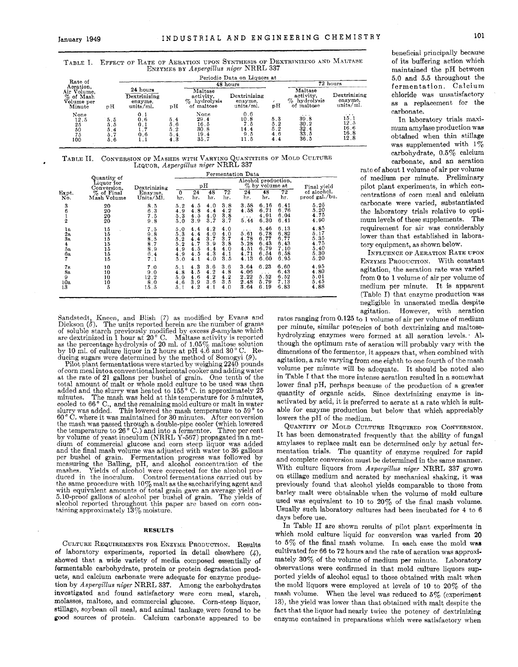|                                                     |                                 |                                                  |                                 |                                                       |                                           |                                 |                                                                            |                                                  | --------------                                                 |
|-----------------------------------------------------|---------------------------------|--------------------------------------------------|---------------------------------|-------------------------------------------------------|-------------------------------------------|---------------------------------|----------------------------------------------------------------------------|--------------------------------------------------|----------------------------------------------------------------|
|                                                     |                                 |                                                  |                                 |                                                       | Periodic Data on Liquors at               |                                 |                                                                            |                                                  | 5.0 and 5.                                                     |
| Rate of<br>Aeration,                                |                                 |                                                  |                                 |                                                       | 48 hours                                  |                                 |                                                                            | 72 hours                                         | fermenta                                                       |
| Air Volume.<br>%<br>of Mash<br>Volume per<br>Minute | pH                              | 24 hours<br>Dextrinizing<br>enzyme.<br>units/ml. | вH                              | Maltase<br>activity,<br>%<br>hydrolysis<br>of maltose | Dextrinizing<br>enzvme.<br>units/ml.      | рH                              | Maltase<br>activity,<br>$\mathcal{D}_{\alpha}$<br>hydrolysis<br>of maltose | Dextrinizing<br>enzyme.<br>units/ml.             | chloride<br>$\mathbf{w}$<br>repl<br>as<br>a                    |
| None<br>12.5<br>25<br>50<br>75<br>100               | 5.5<br>5.5<br>5.4<br>5.7<br>5.6 | 0.1<br>0.6<br>0.1<br>1.7<br>0.6                  | 5.4<br>5.6<br>5.2<br>5.4<br>4.3 | None<br>29.4<br>16.5<br>30.8<br>19.4<br>35.7          | 0.6<br>10.8<br>7.5<br>14.4<br>9.5<br>11.5 | 5,3<br>5.2<br>5.2<br>4.6<br>4.4 | $\cdots$<br>39.8<br>30.2<br>32.4<br>33.5<br>36.5                           | $\cdots$<br>15.1<br>12.5<br>16.6<br>16.8<br>12.8 | carbonate.<br>In labor<br>mum amyl<br>obtained v<br>was supple |

**TABLE I.** EFFECT OF RATE OF **AEBATIOX** UPON **SYNTHESls OB** DEXTRINIZING **AND** MALTASE ENZYMES **BY** *Aspergillus niger* NRRL **337** 

| TABLE II. CONVERSION OF MASHES WITH VARYING QUANTITIES OF MOLD CULTURE |  |
|------------------------------------------------------------------------|--|
| Liquon, Aspergillus niger NRRL 337                                     |  |

|                             | TABLE II. CONVERSION OF MASHES WITH VARIING COANTITIES OF MODE COLLOMB | LIQUOR, Aspergillus niger NRRL 337            |                          |                          |                                               |                                               |                                                          |                                                      |                                                      |                                                      | carbonate, and an aeration<br>rate of about 1 volume of air per volume                                                                                                                   |
|-----------------------------|------------------------------------------------------------------------|-----------------------------------------------|--------------------------|--------------------------|-----------------------------------------------|-----------------------------------------------|----------------------------------------------------------|------------------------------------------------------|------------------------------------------------------|------------------------------------------------------|------------------------------------------------------------------------------------------------------------------------------------------------------------------------------------------|
|                             |                                                                        |                                               |                          |                          |                                               |                                               | Fermentation Data                                        |                                                      |                                                      |                                                      |                                                                                                                                                                                          |
|                             | Quantity of<br>Liquor for<br>Conversion.                               | Dextrinizing                                  |                          |                          | рH                                            |                                               |                                                          | $\%$ by volume at                                    | Alcohol production,                                  | Final yield                                          | of medium per minute. Preliminary<br>pilot plant experiments, in which con-                                                                                                              |
| Expt.<br>No.                | % of Final<br>Mash Volume                                              | Enzyme,<br>Units/Ml.                          | $\Omega$<br>hr.          | 24<br>hr.                | 48<br>hr.                                     | 72<br>hr.                                     | 24<br>hr.                                                | 48<br>hr.                                            | 72<br>hr.                                            | of alcohol,<br>proof gal./bu.                        | centrations of corn meal and calcium                                                                                                                                                     |
|                             | 20<br>20<br>20<br>20                                                   | 8.5<br>6.3<br>7.5<br>9.8                      | 5.2<br>4.9<br>5.3<br>5.0 | 4.5<br>4.8<br>4.5<br>3.9 | 4.0<br>4.4<br>4.0<br>3.7                      | 3.8<br>4.2<br>3.8<br>3.7                      | 3.58<br>4.58<br>5.44                                     | 6.16<br>6.71<br>4.91<br>6.30                         | 6.41<br>6.76<br>6.04<br>6.41                         | 5.25<br>5.20<br>4.75<br>4.90                         | carbonate were varied, substantiated<br>the laboratory trials relative to opti-<br>mum levels of these supplements. The                                                                  |
| 1a<br>28<br>Зa<br>5a<br>6а. | 15<br>15<br>15<br>15<br>15<br>15<br>15                                 | 7.5<br>9.8<br>8.5<br>8.7<br>8.9<br>6.4<br>7.1 | 5.3<br>5.2<br>5.0        | 4.4<br>4.5<br>4.5        | 4.2<br>4.0<br>3.7<br>39<br>4, 4<br>4.3<br>4.0 | 4.0<br>4.0<br>3.7<br>3.8<br>4.0<br>4.1<br>3.5 | $\cdots$<br>5.61<br>4.78<br>5.28<br>4.51<br>4.71<br>4.13 | 5.46<br>6.78<br>6,77<br>6.43<br>6.79<br>6.54<br>6.60 | 6.13<br>6.82<br>6.77<br>6.43<br>7.10<br>6.58<br>6.95 | 4.85<br>5.17<br>5.35<br>4.75<br>5.40<br>5.30<br>5.20 | requirement for air was considerably<br>lower than that established in labora-<br>tory equipment, as shown below.<br>INFLUENCE OF AERATION RATE UPON<br>ENZYME PRODUCTION. With constant |
| 7а<br>8a<br>10a<br>13       | 10<br>10<br>10<br>10                                                   | 7.0<br>9.0<br>12.2<br>8.0<br>15.5             | 4.8<br>5.0               | 4.5<br>4.6<br>3.9        | 3.6<br>4.2<br>4.2<br>3.6                      | 3.6<br>4.8<br>4.2<br>3.5<br>4.0               | 3.64<br>4.06<br>2.22<br>2.48<br>3.64                     | 6.23<br>5.52<br>5.79<br>6.19                         | 6.60<br>6.43<br>652<br>7.13<br>683                   | 4.95<br>4.80<br>5.01<br>5.45<br>4.88                 | agitation, the aeration rate was varied<br>from 0 to 1 volume of air per volume of<br>medium per minute. It is apparent<br>$(Tch)0$ I) that ensume production we                         |

Sandstedt, Kneen, and Blish (7) as modified by Evans and Dickson (5). The units reported herein are the number of grams of soluble starch previously modified by excess  $\beta$ -amylase which are dextrinized in 1 hour at 20 $^{\circ}$  C. Maltase activity is reported of soluble starch previously modified by excess  $\beta$ -alriyiase which are dextrinized in 1 hour at 20 ° C. Maltase activity is reported as the percentage hydrolysis of 20 ml. of  $1.05\%$  maltose solution by 10 ml. of culture liquor in **2** hours at pH 4.6 and **30"** c. Reducing sugars were determined by the method of Somogyi (9).

Pilot plant fermentations were started by weighing **2240** pounds of corn meal into a conventional horizontal cooker and adding water at the rate of **21** gallons per bushel of grain. One tenth of the tot'al amount of malt or whole mold culture to be used was then added and the slurry was heated to **155"** c. in approximately **<sup>25</sup>** minutes. The mash was held at this temperature for 5 minutes, cooled to 66 ° C., and the remaining mold culture or malt in water slurry was added. This lowered the mash temperature to 59 ° to slurry was added. 60' C. where it was maintained for **30** minutes. After conversion the mash was passed through a double-pipe cooler (which lowered the temperature to 26° C.) and into a fermentor. Three per cent<br>by volume of yeast inoculum (NRRL Y-567) propagated in a me-<br>dium of commercial glucose and corn steep liquor was added dium of commercial glucose and corn steep liquor was added and the final mash volume was adjusted with water to 36 gallons per bushel of grain. Fermentation progress was followed by per bushel of grain. Fermentation progress was followed by measuring the Balling, pH, and alcohol concentration of the mashes. Yields of alcohol were corrected for the alcohol produced in the inoculum. Control fermentations carried out by the same procedure with **10%** malt as the saccharifying agent and with equivalent amounts of total grain gave an average yield of **5.10-proof gallons of alcohol per bushel of grain.** The yields of alcohol reported throughout this paper are based on corn containing approximately  $13\%$  moisture.

### **RESULTS**

CULTURE REQUIREMENTS FOR ENZYME PRODUCTION. Results of laboratory experiments, reported in detail elsewhere  $(4)$ , showed that a wide variety of media composed essentially of fermentable carbohydrate, protein or protein degradation products, and calcium carbonate were adequate for enzyme production by *Aspergillus niger* NRRL **337.** Among the carbohydrates investigated and found satisfactory were corn meal, starch, molasses, maltose, and commercial glucose. Corn-steep liquor, stillage, soybean oil meal, and animal tankage were found to be good sources of protein. Calcium carbonate appeared to be

beneficial principally because of its buffering action which maintained the pH between **5.0** and **5.5** throughout, the fermentation. Calcium chloride was unsatisfactory **as** a replacement for the

In laboratory trials maxi $mum$  amylase production was obtained when thin stillage was supplemented with  $1\%$ carbohydrate, **0.5%** calcium carbonate, and an aeration

INFLUENCE OF AERATION RATE UPON **7 15 7.1 5.0 4.1 4.0 3.5 4.13 6.60 6.95 5.20** ENZYME PRODUCTION, With constant agitation, the aeration rate was varied from 0 to 1 volume of air per volume of 1; **15.3 5.1 4.2 4.1 4.0 3.64 6.19 6.83 4.8s** medium per minute. It is apparent (Table **I)** that enzyme production was negligible in unaerated media despite agitation. However, with aeration

rates ranging from 0.125 to  $\overline{1}$  volume of air per volume of medium Per minute, similar Potencies of both dextrinizing and maltosehydrolyzing enzymes were formed at all aeration levels. . AIthough the optimum rate of aeration will probably vary with the dimensions of the fermentor, it appears that, when combined with agitation, a rate varying from one eighth to one fourth of the mash per minute will be adequate. It should be noted also in Table I that the more intense aeration resulted in a somewhat lower final pH, perhaps because of the production **of** a greakr quantity of organic acids. Since dextrinizing enzyme is inactivated by acid, it is preferred to aerate at a rate which is suitable for enzyme production but below that which appreciably lowers the pH of the medium.

QUANTITY OF MOLD CULTURE REQUIRED FOR CONVERSION. It has been demonstrated frequently that the ability of fungal amylases to replace malt can be determined only by actual fermentation trials. The quantity of enzyme required for rapid and complete conversion must be determined in the same manner. With culture liquors from *Aspergillus niger* NRRL 337 grown on Stillage medium and aerated by mechanical shaking, it was previously found that alcohol yields comparable to those from barley malt were obtainable when the volume of mold culture used was equivalent to 10 to  $20\%$  of the final mash volume. Usually such laboratory cultures had been incubated for **4** to **6**  days before use.

In Table I1 are shown results of pilot plant experiments in which mold culture liquid for conversion was varied from **20**  to  $5\%$  of the final mash volume. In each case the mold was cultivated for 66 to 72 hours and the rate of aeration was approximately 30% of the volume of medium per minute. Laboratory observations were confirmed in that mold culture liquors supported yields of alcohol equal to those obtained with malt when the mold liquors were employed at levels of 10 to 20% of the mash volume. When the level was reduced to *5%* (experiment **131,** the yield was lower than that obtained with malt despite the fact that the liquor had nearly twice the potency of dextrinizing enzyme contained in preparations which were satisfactory when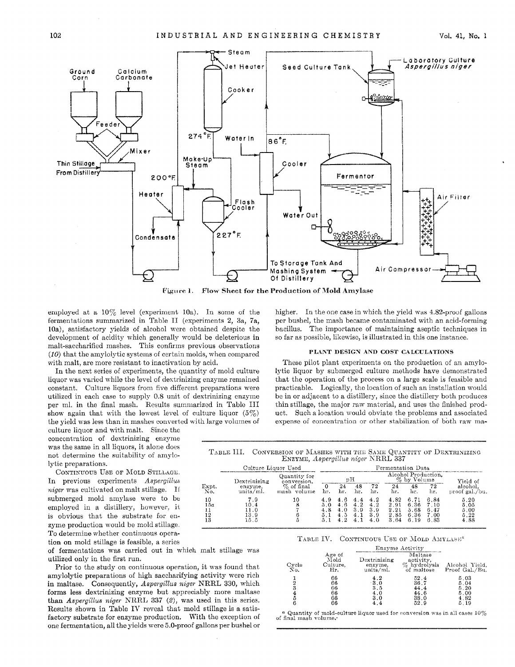

employed at a  $10\%$  level (experiment 10a). In some of the fermentations summarized in Table IJ (experiments **2,** 3a, 7a, 10a), satisfactory yields of alcohol were obtained despite the development of acidity which generally would be deleterious in malt-saccharified mashes. This confirms previous observations *(IO)* that thc amylolytic systems of certain molds, when compared with malt, are more resistant to inactivation by acid.

In the next series of experiments, the quantity of mold culture liquor was varied while the level of dextrinizing enzyme remained constant. Culture liquors from five different preparations were utilized in each case to supply 0.8 unit of dextrinizing enzyme per ml. in the final mash. Results summarized in Table III show again that with the lowest level of culture liquor  $(5\%)$ the yield was less than in mashes converted with large volumes of

culture liquor and with malt. Since the concentration of dextrinizing enzyme was the same in all liquors, it alone does not determine the suitability of amylolytic preparations.

CONTINUOUS USE OF MOLD STILLAGE. In previous experiments *Aspergillus niger* was cultivated on malt stillage. If submerged mold amylase were to be employed in a distillery, however, it **13 15.5 5 5.1 4.2 4.1 4.0 3.64 6.19 8.83 4.88** is obvious that the substrate for enzyme production would be mold stillage. To determine whether continuous operation on mold stillage is feasible, a series

of fermentations was carried out in which malt stillage was utilized only in the first run.

amylolytic preparations of high saccharifying activity were rich  $\frac{1}{3}$  **5.04 5.04 1 1 5.04 5.04 5.04 6.20 5.04 5.20 6.20 5.20 6.20 6.20 6.20 6.20 6.20** forms less dextrinizing enzyme but appreciably more maltase than *Aspergillus niger* NRRL 337 (2), was used in this series. Results shown in Table IV reveal that mold stillage is a satis-Prior to the study on continuous operation, it was found that Results shown in Table IV reveal that mold stillage is a satis-<br>
factory substrate for enzyme production. With the exception of of final mash volume. one fermentation, all the yields were 5.0-proof gallons per bushel or

higher. In the one case in which the yield was  $4.82$ -proof gallons per bushel, the mash became contaminated with an acid-forming bacillus. The importance of maintaining aseptic techniques in *so* far as possible, likcwisc, is illustrated in this one instance.

### **PLANT DESIGN AND COST CALCULATIONS**

These pilot plant experiments on the production of an amylolytic liquor by submerged culture methods have demonstrated that the operation of the process on a large scale is feasible and practicable. Logically, tho location of such an installation would be in or adjacent to a distillery, since the distillery both produces thin stillage, the major raw material, and uses the finished product. Such a location would obviate the problems and associated expense of concentration or other stabilization of both raw ma-

TABLE III. CONVERSION OF MASHES WITH THE SAME QUANTITY OF DEXTRINIZING

|                                                            |                                     | ENZYME, Aspergillus niger NRRL 337 |                   |                                 |                                 |                                 |                                      |                                      |                                      |                                      |
|------------------------------------------------------------|-------------------------------------|------------------------------------|-------------------|---------------------------------|---------------------------------|---------------------------------|--------------------------------------|--------------------------------------|--------------------------------------|--------------------------------------|
|                                                            | Culture Liquor Used                 |                                    |                   |                                 |                                 | Fermentation Data               |                                      |                                      |                                      |                                      |
|                                                            | Dextrinizing                        | Quantity for<br>conversion.        |                   |                                 | рH                              |                                 |                                      | $\%$ by Volume                       | Alcohol Production.                  | Yield of                             |
| Expt.<br>No.                                               | enzyme,<br>units/ml.                | $\%$ of final<br>mash volume       | 0<br>hг.          | 24<br>hr.                       | 48<br>hr.                       | 72<br>hr.                       | 24<br>hr.                            | 48<br>hr.                            | 72<br>hr.                            | alcohol.<br>proof gal./bu.           |
| 10<br>15a<br>$\begin{array}{c} 11 \\ 12 \\ 13 \end{array}$ | 7.9<br>10.4<br>11.0<br>13.9<br>15.5 | 10<br>8<br>6<br>5                  | 4.9<br>5.0<br>4.8 | 4.6<br>4.6<br>4.0<br>4.5<br>4.2 | 4.4<br>4.2<br>3.9<br>4.1<br>4.1 | 4.2<br>4.2<br>3.9<br>3.9<br>4.0 | 4.82<br>2.91<br>2.21<br>2.85<br>3.64 | 6.71<br>6.36<br>5.68<br>6.36<br>6.19 | 6.84<br>7.10<br>6.47<br>7.00<br>6.83 | 5.20<br>5.05<br>5.00<br>5.22<br>4.88 |

### TABLE IV. CONTINUOUS USE OF MOLD AMYLASE<sup>a</sup>

|                                           |                                             |                                           | Enzyme Activity                                    |                                              |
|-------------------------------------------|---------------------------------------------|-------------------------------------------|----------------------------------------------------|----------------------------------------------|
| Cycle<br>No.                              | Age of<br>$_{\rm{Mold}}$<br>Culture,<br>Hr. | Dextrinizing<br>enzyme,<br>units/ml.      | Maltase<br>activity,<br>% hydrolysis<br>of maltose | Alcohol Yield,<br>Proof Gal./Bu.             |
| $\overline{2}$<br>3<br>$\frac{4}{5}$<br>6 | 66<br>66<br>66<br>66<br>66<br>66            | 4.2<br>$-3.0$<br>3.5<br>4.0<br>3.0<br>4.4 | 52.4<br>36.7<br>44.4<br>44.6<br>38.0<br>52.9       | 5.03<br>5.04<br>5.20<br>5.00<br>4.82<br>5.19 |